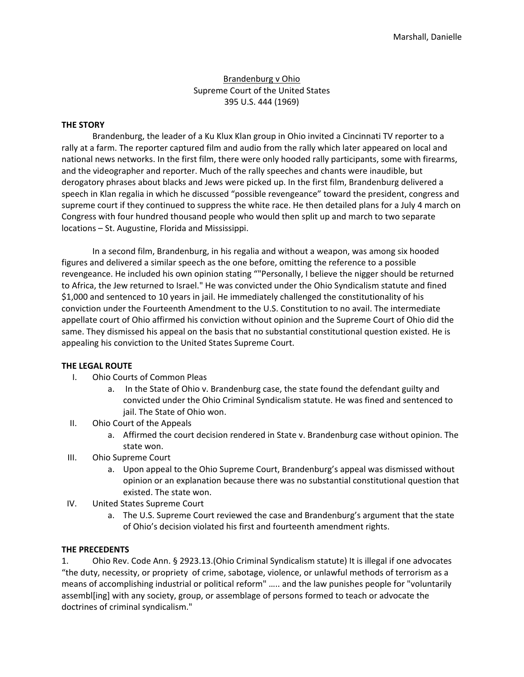# Brandenburg v Ohio Supreme Court of the United States 395 U.S. 444 (1969)

### **THE STORY**

Brandenburg, the leader of a Ku Klux Klan group in Ohio invited a Cincinnati TV reporter to a rally at a farm. The reporter captured film and audio from the rally which later appeared on local and national news networks. In the first film, there were only hooded rally participants, some with firearms, and the videographer and reporter. Much of the rally speeches and chants were inaudible, but derogatory phrases about blacks and Jews were picked up. In the first film, Brandenburg delivered a speech in Klan regalia in which he discussed "possible revengeance" toward the president, congress and supreme court if they continued to suppress the white race. He then detailed plans for a July 4 march on Congress with four hundred thousand people who would then split up and march to two separate locations – St. Augustine, Florida and Mississippi.

In a second film, Brandenburg, in his regalia and without a weapon, was among six hooded figures and delivered a similar speech as the one before, omitting the reference to a possible revengeance. He included his own opinion stating ""Personally, I believe the nigger should be returned to Africa, the Jew returned to Israel." He was convicted under the Ohio Syndicalism statute and fined \$1,000 and sentenced to 10 years in jail. He immediately challenged the constitutionality of his conviction under the Fourteenth Amendment to the U.S. Constitution to no avail. The intermediate appellate court of Ohio affirmed his conviction without opinion and the Supreme Court of Ohio did the same. They dismissed his appeal on the basis that no substantial constitutional question existed. He is appealing his conviction to the United States Supreme Court.

### **THE LEGAL ROUTE**

- I. Ohio Courts of Common Pleas
	- a. In the State of Ohio v. Brandenburg case, the state found the defendant guilty and convicted under the Ohio Criminal Syndicalism statute. He was fined and sentenced to jail. The State of Ohio won.
- II. Ohio Court of the Appeals
	- a. Affirmed the court decision rendered in State v. Brandenburg case without opinion. The state won.
- III. Ohio Supreme Court
	- a. Upon appeal to the Ohio Supreme Court, Brandenburg's appeal was dismissed without opinion or an explanation because there was no substantial constitutional question that existed. The state won.
- IV. United States Supreme Court
	- a. The U.S. Supreme Court reviewed the case and Brandenburg's argument that the state of Ohio's decision violated his first and fourteenth amendment rights.

### **THE PRECEDENTS**

1. Ohio Rev. Code Ann. § 2923.13.(Ohio Criminal Syndicalism statute) It is illegal if one advocates "the duty, necessity, or propriety of crime, sabotage, violence, or unlawful methods of terrorism as a means of accomplishing industrial or political reform" ….. and the law punishes people for "voluntarily assembl[ing] with any society, group, or assemblage of persons formed to teach or advocate the doctrines of criminal syndicalism."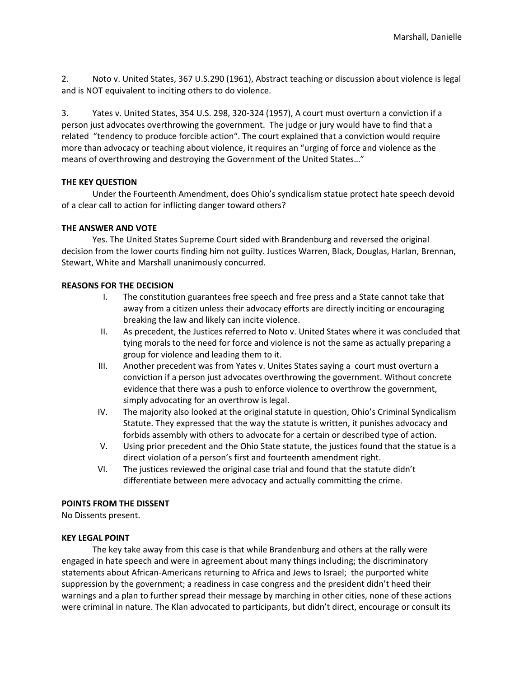2. Noto v. United States, 367 U.S.290 (1961), Abstract teaching or discussion about violence is legal and is NOT equivalent to inciting others to do violence.

3. Yates v. United States, 354 U.S. 298, 320-324 (1957), A court must overturn a conviction if a person just advocates overthrowing the government. The judge or jury would have to find that a related "tendency to produce forcible action". The court explained that a conviction would require more than advocacy or teaching about violence, it requires an "urging of force and violence as the means of overthrowing and destroying the Government of the United States…"

## **THE KEY QUESTION**

Under the Fourteenth Amendment, does Ohio's syndicalism statue protect hate speech devoid of a clear call to action for inflicting danger toward others?

## **THE ANSWER AND VOTE**

Yes. The United States Supreme Court sided with Brandenburg and reversed the original decision from the lower courts finding him not guilty. Justices Warren, Black, Douglas, Harlan, Brennan, Stewart, White and Marshall unanimously concurred.

## **REASONS FOR THE DECISION**

- I. The constitution guarantees free speech and free press and a State cannot take that away from a citizen unless their advocacy efforts are directly inciting or encouraging breaking the law and likely can incite violence.
- II. As precedent, the Justices referred to Noto v. United States where it was concluded that tying morals to the need for force and violence is not the same as actually preparing a group for violence and leading them to it.
- III. Another precedent was from Yates v. Unites States saying a court must overturn a conviction if a person just advocates overthrowing the government. Without concrete evidence that there was a push to enforce violence to overthrow the government, simply advocating for an overthrow is legal.
- IV. The majority also looked at the original statute in question, Ohio's Criminal Syndicalism Statute. They expressed that the way the statute is written, it punishes advocacy and forbids assembly with others to advocate for a certain or described type of action.
- V. Using prior precedent and the Ohio State statute, the justices found that the statue is a direct violation of a person's first and fourteenth amendment right.
- VI. The justices reviewed the original case trial and found that the statute didn't differentiate between mere advocacy and actually committing the crime.

### **POINTS FROM THE DISSENT**

No Dissents present.

### **KEY LEGAL POINT**

The key take away from this case is that while Brandenburg and others at the rally were engaged in hate speech and were in agreement about many things including; the discriminatory statements about African-Americans returning to Africa and Jews to Israel; the purported white suppression by the government; a readiness in case congress and the president didn't heed their warnings and a plan to further spread their message by marching in other cities, none of these actions were criminal in nature. The Klan advocated to participants, but didn't direct, encourage or consult its